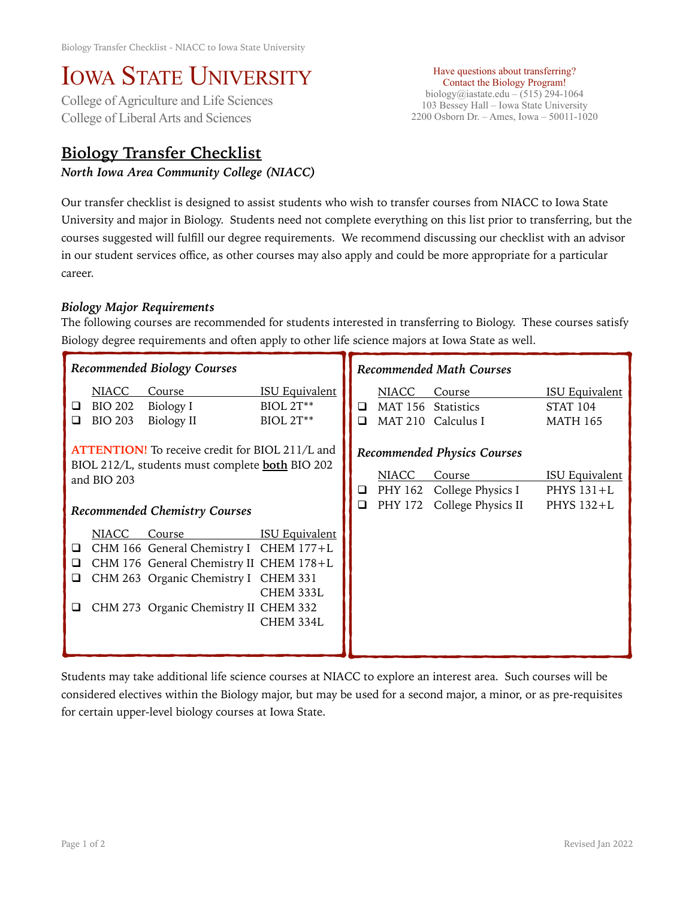## IOWA STATE UNIVERSITY<br>College of Agriculture and Life Sciences

College of Liberal Arts and Sciences

## **Biology Transfer Checklist**

*North Iowa Area Community College (NIACC)* 

Have questions about transferring? Contact the Biology Program! biology@iastate.edu – (515) 294-1064 103 Bessey Hall – Iowa State University 2200 Osborn Dr. – Ames, Iowa – 50011-1020

Our transfer checklist is designed to assist students who wish to transfer courses from NIACC to Iowa State University and major in Biology. Students need not complete everything on this list prior to transferring, but the courses suggested will fulfill our degree requirements. We recommend discussing our checklist with an advisor in our student services office, as other courses may also apply and could be more appropriate for a particular career.

## *Biology Major Requirements*

The following courses are recommended for students interested in transferring to Biology. These courses satisfy Biology degree requirements and often apply to other life science majors at Iowa State as well.

| Recommended Biology Courses                                                                                                                                             |                                                  |                                                                                                                                                                              |                                                        | <b>Recommended Math Courses</b> |                                                                                                 |                                                     |                                                             |
|-------------------------------------------------------------------------------------------------------------------------------------------------------------------------|--------------------------------------------------|------------------------------------------------------------------------------------------------------------------------------------------------------------------------------|--------------------------------------------------------|---------------------------------|-------------------------------------------------------------------------------------------------|-----------------------------------------------------|-------------------------------------------------------------|
| ⊔<br>◻                                                                                                                                                                  | <b>NIACC</b><br><b>BIO 202</b><br><b>BIO 203</b> | Course<br>Biology I<br>Biology II                                                                                                                                            | <b>ISU Equivalent</b><br><b>BIOL 2T**</b><br>BIOL 2T** | ❏<br>□                          | <b>NIACC</b><br><b>MAT 210</b>                                                                  | Course<br>MAT 156 Statistics<br>Calculus I          | <b>ISU Equivalent</b><br><b>STAT 104</b><br><b>MATH 165</b> |
| <b>ATTENTION!</b> To receive credit for BIOL 211/L and<br>BIOL 212/L, students must complete <b>both</b> BIO 202<br>and BIO 203<br><b>Recommended Chemistry Courses</b> |                                                  |                                                                                                                                                                              | Q<br>$\Box$                                            | <b>NIACC</b><br>PHY 172         | <b>Recommended Physics Courses</b><br>Course<br>PHY 162 College Physics I<br>College Physics II | <b>ISU Equivalent</b><br>PHYS $131+L$<br>PHYS 132+L |                                                             |
| □<br>ப<br>⊔                                                                                                                                                             | <b>NIACC</b>                                     | Course<br>CHM 166 General Chemistry I CHEM 177+L<br>CHM 176 General Chemistry II CHEM 178+L<br>CHM 263 Organic Chemistry I CHEM 331<br>CHM 273 Organic Chemistry II CHEM 332 | <b>ISU Equivalent</b><br>CHEM 333L<br>CHEM 334L        |                                 |                                                                                                 |                                                     |                                                             |

Students may take additional life science courses at NIACC to explore an interest area. Such courses will be considered electives within the Biology major, but may be used for a second major, a minor, or as pre-requisites for certain upper-level biology courses at Iowa State.